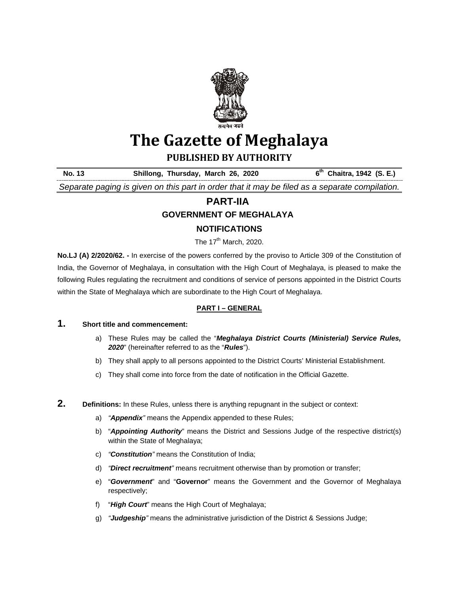

# **The Gazette of Meghalaya**

**PUBLISHED BY AUTHORITY**

No. 13 **Shillong, Thursday, March 26, 2020** 6<sup>th</sup> Chaitra, 1942 (S. E.) *Separate paging is given on this part in order that it may be filed as a separate compilation.*

## **PART-IIA**

## **GOVERNMENT OF MEGHALAYA**

## **NOTIFICATIONS**

The  $17<sup>th</sup>$  March, 2020.

**No.LJ (A) 2/2020/62. -** In exercise of the powers conferred by the proviso to Article 309 of the Constitution of India, the Governor of Meghalaya, in consultation with the High Court of Meghalaya, is pleased to make the following Rules regulating the recruitment and conditions of service of persons appointed in the District Courts within the State of Meghalaya which are subordinate to the High Court of Meghalaya.

#### **PART I – GENERAL**

## **1. Short title and commencement:**

- a) These Rules may be called the "*Meghalaya District Courts (Ministerial) Service Rules, 2020*" (hereinafter referred to as the "*Rules*").
- b) They shall apply to all persons appointed to the District Courts' Ministerial Establishment.
- c) They shall come into force from the date of notification in the Official Gazette.
- **2.** Definitions: In these Rules, unless there is anything repugnant in the subject or context:
	- a) *"Appendix"* means the Appendix appended to these Rules;
	- b) "*Appointing Authority*" means the District and Sessions Judge of the respective district(s) within the State of Meghalaya;
	- c) *"Constitution"* means the Constitution of India;
	- d) *"Direct recruitment"* means recruitment otherwise than by promotion or transfer;
	- e) "*Government*" and "**Governor**" means the Government and the Governor of Meghalaya respectively;
	- f) "*High Court*" means the High Court of Meghalaya;
	- g) *"Judgeship"* means the administrative jurisdiction of the District & Sessions Judge;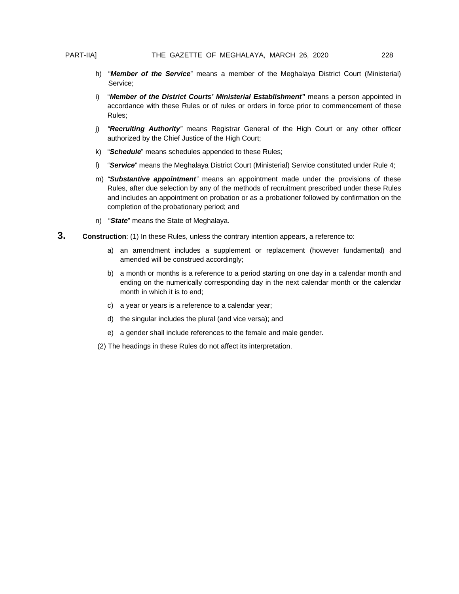- h) "*Member of the Service*" means a member of the Meghalaya District Court (Ministerial) Service;
- i) "*Member of the District Courts' Ministerial Establishment"* means a person appointed in accordance with these Rules or of rules or orders in force prior to commencement of these Rules;
- j) *"Recruiting Authority"* means Registrar General of the High Court or any other officer authorized by the Chief Justice of the High Court;
- k) "*Schedule*" means schedules appended to these Rules;
- l) "*Service*" means the Meghalaya District Court (Ministerial) Service constituted under Rule 4;
- m) *"Substantive appointment"* means an appointment made under the provisions of these Rules, after due selection by any of the methods of recruitment prescribed under these Rules and includes an appointment on probation or as a probationer followed by confirmation on the completion of the probationary period; and
- n) "*State*" means the State of Meghalaya.
- **3.** Construction: (1) In these Rules, unless the contrary intention appears, a reference to:
	- a) an amendment includes a supplement or replacement (however fundamental) and amended will be construed accordingly;
	- b) a month or months is a reference to a period starting on one day in a calendar month and ending on the numerically corresponding day in the next calendar month or the calendar month in which it is to end;
	- c) a year or years is a reference to a calendar year;
	- d) the singular includes the plural (and vice versa); and
	- e) a gender shall include references to the female and male gender.
	- (2) The headings in these Rules do not affect its interpretation.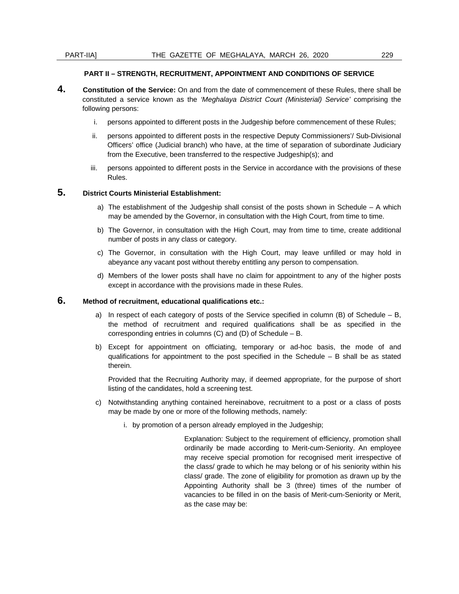#### **PART II – STRENGTH, RECRUITMENT, APPOINTMENT AND CONDITIONS OF SERVICE**

- **4. Constitution of the Service:** On and from the date of commencement of these Rules, there shall be constituted a service known as the *'Meghalaya District Court (Ministerial) Service'* comprising the following persons:
	- i. persons appointed to different posts in the Judgeship before commencement of these Rules;
	- ii. persons appointed to different posts in the respective Deputy Commissioners'/ Sub-Divisional Officers' office (Judicial branch) who have, at the time of separation of subordinate Judiciary from the Executive, been transferred to the respective Judgeship(s); and
	- iii. persons appointed to different posts in the Service in accordance with the provisions of these Rules.

#### **5. District Courts Ministerial Establishment:**

- a) The establishment of the Judgeship shall consist of the posts shown in Schedule A which may be amended by the Governor, in consultation with the High Court, from time to time.
- b) The Governor, in consultation with the High Court, may from time to time, create additional number of posts in any class or category.
- c) The Governor, in consultation with the High Court, may leave unfilled or may hold in abeyance any vacant post without thereby entitling any person to compensation.
- d) Members of the lower posts shall have no claim for appointment to any of the higher posts except in accordance with the provisions made in these Rules.

#### **6. Method of recruitment, educational qualifications etc.:**

- a) In respect of each category of posts of the Service specified in column  $(B)$  of Schedule B, the method of recruitment and required qualifications shall be as specified in the corresponding entries in columns (C) and (D) of Schedule – B.
- b) Except for appointment on officiating, temporary or ad-hoc basis, the mode of and qualifications for appointment to the post specified in the Schedule  $-$  B shall be as stated therein.

Provided that the Recruiting Authority may, if deemed appropriate, for the purpose of short listing of the candidates, hold a screening test.

- c) Notwithstanding anything contained hereinabove, recruitment to a post or a class of posts may be made by one or more of the following methods, namely:
	- i. by promotion of a person already employed in the Judgeship;
		- Explanation: Subject to the requirement of efficiency, promotion shall ordinarily be made according to Merit-cum-Seniority. An employee may receive special promotion for recognised merit irrespective of the class/ grade to which he may belong or of his seniority within his class/ grade. The zone of eligibility for promotion as drawn up by the Appointing Authority shall be 3 (three) times of the number of vacancies to be filled in on the basis of Merit-cum-Seniority or Merit, as the case may be: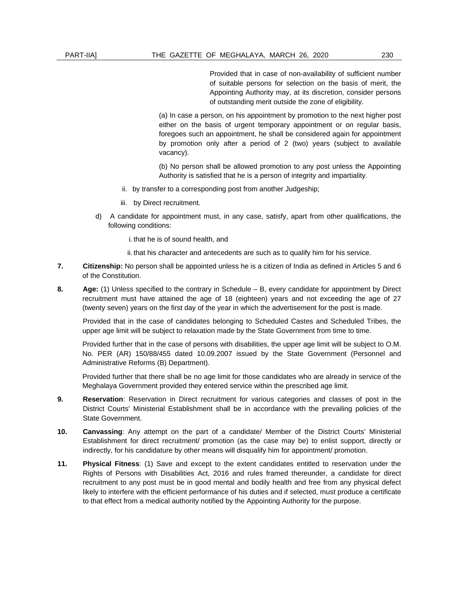Provided that in case of non-availability of sufficient number of suitable persons for selection on the basis of merit, the Appointing Authority may, at its discretion, consider persons of outstanding merit outside the zone of eligibility.

(a) In case a person, on his appointment by promotion to the next higher post either on the basis of urgent temporary appointment or on regular basis, foregoes such an appointment, he shall be considered again for appointment by promotion only after a period of 2 (two) years (subject to available vacancy).

(b) No person shall be allowed promotion to any post unless the Appointing Authority is satisfied that he is a person of integrity and impartiality.

- ii. by transfer to a corresponding post from another Judgeship;
- iii. by Direct recruitment.
- d) A candidate for appointment must, in any case, satisfy, apart from other qualifications, the following conditions:
	- i. that he is of sound health, and
	- ii. that his character and antecedents are such as to qualify him for his service.
- **7. Citizenship:** No person shall be appointed unless he is a citizen of India as defined in Articles 5 and 6 of the Constitution.
- **8. Age:** (1) Unless specified to the contrary in Schedule B, every candidate for appointment by Direct recruitment must have attained the age of 18 (eighteen) years and not exceeding the age of 27 (twenty seven) years on the first day of the year in which the advertisement for the post is made.

Provided that in the case of candidates belonging to Scheduled Castes and Scheduled Tribes, the upper age limit will be subject to relaxation made by the State Government from time to time.

Provided further that in the case of persons with disabilities, the upper age limit will be subject to O.M. No. PER (AR) 150/88/455 dated 10.09.2007 issued by the State Government (Personnel and Administrative Reforms (B) Department).

Provided further that there shall be no age limit for those candidates who are already in service of the Meghalaya Government provided they entered service within the prescribed age limit.

- **9. Reservation**: Reservation in Direct recruitment for various categories and classes of post in the District Courts' Ministerial Establishment shall be in accordance with the prevailing policies of the State Government.
- **10. Canvassing**: Any attempt on the part of a candidate/ Member of the District Courts' Ministerial Establishment for direct recruitment/ promotion (as the case may be) to enlist support, directly or indirectly, for his candidature by other means will disqualify him for appointment/ promotion.
- **11. Physical Fitness**: (1) Save and except to the extent candidates entitled to reservation under the Rights of Persons with Disabilities Act, 2016 and rules framed thereunder, a candidate for direct recruitment to any post must be in good mental and bodily health and free from any physical defect likely to interfere with the efficient performance of his duties and if selected, must produce a certificate to that effect from a medical authority notified by the Appointing Authority for the purpose.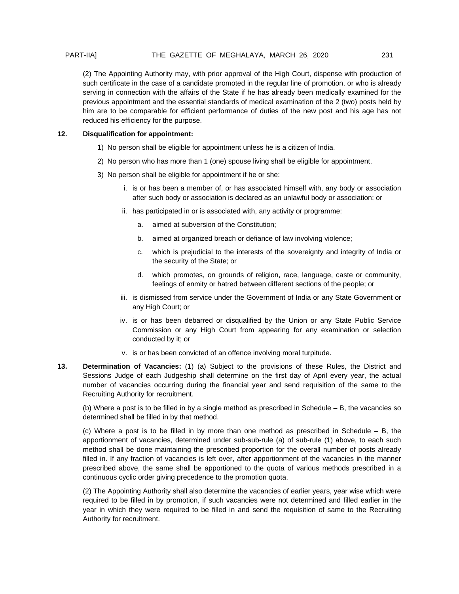(2) The Appointing Authority may, with prior approval of the High Court, dispense with production of such certificate in the case of a candidate promoted in the regular line of promotion, or who is already serving in connection with the affairs of the State if he has already been medically examined for the previous appointment and the essential standards of medical examination of the 2 (two) posts held by him are to be comparable for efficient performance of duties of the new post and his age has not reduced his efficiency for the purpose.

#### **12. Disqualification for appointment:**

- 1) No person shall be eligible for appointment unless he is a citizen of India.
- 2) No person who has more than 1 (one) spouse living shall be eligible for appointment.
- 3) No person shall be eligible for appointment if he or she:
	- i. is or has been a member of, or has associated himself with, any body or association after such body or association is declared as an unlawful body or association; or
	- ii. has participated in or is associated with, any activity or programme:
		- a. aimed at subversion of the Constitution;
		- b. aimed at organized breach or defiance of law involving violence;
		- c. which is prejudicial to the interests of the sovereignty and integrity of India or the security of the State; or
		- d. which promotes, on grounds of religion, race, language, caste or community, feelings of enmity or hatred between different sections of the people; or
	- iii. is dismissed from service under the Government of India or any State Government or any High Court; or
	- iv. is or has been debarred or disqualified by the Union or any State Public Service Commission or any High Court from appearing for any examination or selection conducted by it; or
	- v. is or has been convicted of an offence involving moral turpitude.
- **13. Determination of Vacancies:** (1) (a) Subject to the provisions of these Rules, the District and Sessions Judge of each Judgeship shall determine on the first day of April every year, the actual number of vacancies occurring during the financial year and send requisition of the same to the Recruiting Authority for recruitment.

(b) Where a post is to be filled in by a single method as prescribed in Schedule – B, the vacancies so determined shall be filled in by that method.

(c) Where a post is to be filled in by more than one method as prescribed in Schedule – B, the apportionment of vacancies, determined under sub-sub-rule (a) of sub-rule (1) above, to each such method shall be done maintaining the prescribed proportion for the overall number of posts already filled in. If any fraction of vacancies is left over, after apportionment of the vacancies in the manner prescribed above, the same shall be apportioned to the quota of various methods prescribed in a continuous cyclic order giving precedence to the promotion quota.

(2) The Appointing Authority shall also determine the vacancies of earlier years, year wise which were required to be filled in by promotion, if such vacancies were not determined and filled earlier in the year in which they were required to be filled in and send the requisition of same to the Recruiting Authority for recruitment.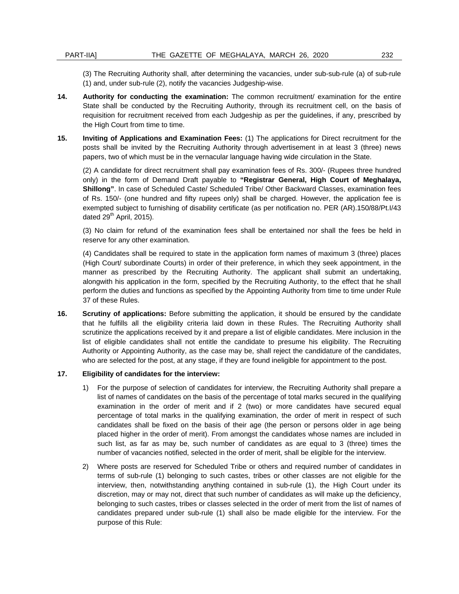(3) The Recruiting Authority shall, after determining the vacancies, under sub-sub-rule (a) of sub-rule (1) and, under sub-rule (2), notify the vacancies Judgeship-wise.

- **14. Authority for conducting the examination:** The common recruitment/ examination for the entire State shall be conducted by the Recruiting Authority, through its recruitment cell, on the basis of requisition for recruitment received from each Judgeship as per the guidelines, if any, prescribed by the High Court from time to time.
- **15. Inviting of Applications and Examination Fees:** (1) The applications for Direct recruitment for the posts shall be invited by the Recruiting Authority through advertisement in at least 3 (three) news papers, two of which must be in the vernacular language having wide circulation in the State.

(2) A candidate for direct recruitment shall pay examination fees of Rs. 300/- (Rupees three hundred only) in the form of Demand Draft payable to **"Registrar General, High Court of Meghalaya, Shillong"**. In case of Scheduled Caste/ Scheduled Tribe/ Other Backward Classes, examination fees of Rs. 150/- (one hundred and fifty rupees only) shall be charged. However, the application fee is exempted subject to furnishing of disability certificate (as per notification no. PER (AR).150/88/Pt.I/43 dated  $29<sup>th</sup>$  April, 2015).

(3) No claim for refund of the examination fees shall be entertained nor shall the fees be held in reserve for any other examination.

(4) Candidates shall be required to state in the application form names of maximum 3 (three) places (High Court/ subordinate Courts) in order of their preference, in which they seek appointment, in the manner as prescribed by the Recruiting Authority. The applicant shall submit an undertaking, alongwith his application in the form, specified by the Recruiting Authority, to the effect that he shall perform the duties and functions as specified by the Appointing Authority from time to time under Rule 37 of these Rules.

**16. Scrutiny of applications:** Before submitting the application, it should be ensured by the candidate that he fulfills all the eligibility criteria laid down in these Rules. The Recruiting Authority shall scrutinize the applications received by it and prepare a list of eligible candidates. Mere inclusion in the list of eligible candidates shall not entitle the candidate to presume his eligibility. The Recruiting Authority or Appointing Authority, as the case may be, shall reject the candidature of the candidates, who are selected for the post, at any stage, if they are found ineligible for appointment to the post.

#### **17. Eligibility of candidates for the interview:**

- 1) For the purpose of selection of candidates for interview, the Recruiting Authority shall prepare a list of names of candidates on the basis of the percentage of total marks secured in the qualifying examination in the order of merit and if 2 (two) or more candidates have secured equal percentage of total marks in the qualifying examination, the order of merit in respect of such candidates shall be fixed on the basis of their age (the person or persons older in age being placed higher in the order of merit). From amongst the candidates whose names are included in such list, as far as may be, such number of candidates as are equal to 3 (three) times the number of vacancies notified, selected in the order of merit, shall be eligible for the interview.
- 2) Where posts are reserved for Scheduled Tribe or others and required number of candidates in terms of sub-rule (1) belonging to such castes, tribes or other classes are not eligible for the interview, then, notwithstanding anything contained in sub-rule (1), the High Court under its discretion, may or may not, direct that such number of candidates as will make up the deficiency, belonging to such castes, tribes or classes selected in the order of merit from the list of names of candidates prepared under sub-rule (1) shall also be made eligible for the interview. For the purpose of this Rule: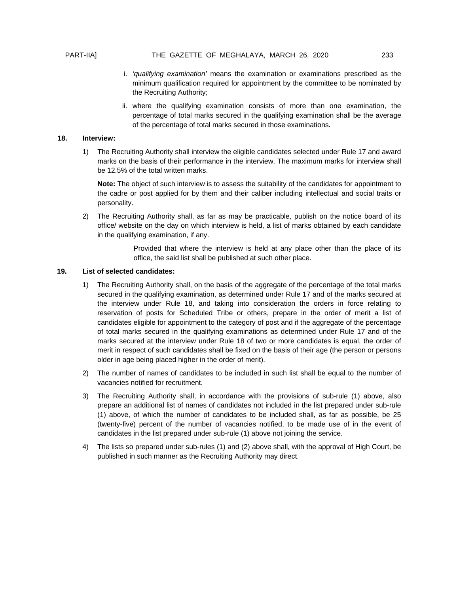- i. *'qualifying examination'* means the examination or examinations prescribed as the minimum qualification required for appointment by the committee to be nominated by the Recruiting Authority;
- ii. where the qualifying examination consists of more than one examination, the percentage of total marks secured in the qualifying examination shall be the average of the percentage of total marks secured in those examinations.

#### **18. Interview:**

1) The Recruiting Authority shall interview the eligible candidates selected under Rule 17 and award marks on the basis of their performance in the interview. The maximum marks for interview shall be 12.5% of the total written marks.

**Note:** The object of such interview is to assess the suitability of the candidates for appointment to the cadre or post applied for by them and their caliber including intellectual and social traits or personality.

2) The Recruiting Authority shall, as far as may be practicable, publish on the notice board of its office/ website on the day on which interview is held, a list of marks obtained by each candidate in the qualifying examination, if any.

> Provided that where the interview is held at any place other than the place of its office, the said list shall be published at such other place.

#### **19. List of selected candidates:**

- 1) The Recruiting Authority shall, on the basis of the aggregate of the percentage of the total marks secured in the qualifying examination, as determined under Rule 17 and of the marks secured at the interview under Rule 18, and taking into consideration the orders in force relating to reservation of posts for Scheduled Tribe or others, prepare in the order of merit a list of candidates eligible for appointment to the category of post and if the aggregate of the percentage of total marks secured in the qualifying examinations as determined under Rule 17 and of the marks secured at the interview under Rule 18 of two or more candidates is equal, the order of merit in respect of such candidates shall be fixed on the basis of their age (the person or persons older in age being placed higher in the order of merit).
- 2) The number of names of candidates to be included in such list shall be equal to the number of vacancies notified for recruitment.
- 3) The Recruiting Authority shall, in accordance with the provisions of sub-rule (1) above, also prepare an additional list of names of candidates not included in the list prepared under sub-rule (1) above, of which the number of candidates to be included shall, as far as possible, be 25 (twenty-five) percent of the number of vacancies notified, to be made use of in the event of candidates in the list prepared under sub-rule (1) above not joining the service.
- 4) The lists so prepared under sub-rules (1) and (2) above shall, with the approval of High Court, be published in such manner as the Recruiting Authority may direct.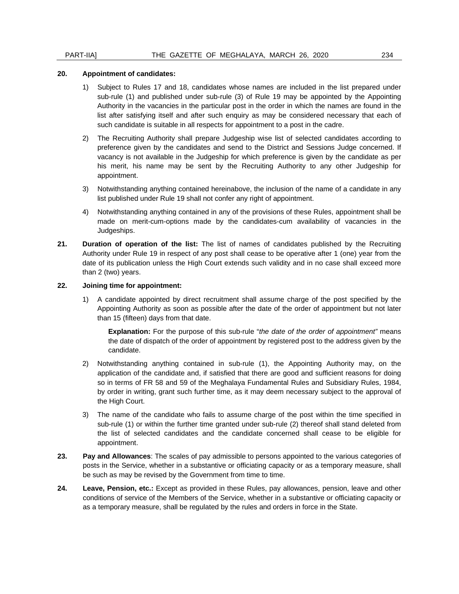#### **20. Appointment of candidates:**

- 1) Subject to Rules 17 and 18, candidates whose names are included in the list prepared under sub-rule (1) and published under sub-rule (3) of Rule 19 may be appointed by the Appointing Authority in the vacancies in the particular post in the order in which the names are found in the list after satisfying itself and after such enquiry as may be considered necessary that each of such candidate is suitable in all respects for appointment to a post in the cadre.
- 2) The Recruiting Authority shall prepare Judgeship wise list of selected candidates according to preference given by the candidates and send to the District and Sessions Judge concerned. If vacancy is not available in the Judgeship for which preference is given by the candidate as per his merit, his name may be sent by the Recruiting Authority to any other Judgeship for appointment.
- 3) Notwithstanding anything contained hereinabove, the inclusion of the name of a candidate in any list published under Rule 19 shall not confer any right of appointment.
- 4) Notwithstanding anything contained in any of the provisions of these Rules, appointment shall be made on merit-cum-options made by the candidates-cum availability of vacancies in the Judgeships.
- **21. Duration of operation of the list:** The list of names of candidates published by the Recruiting Authority under Rule 19 in respect of any post shall cease to be operative after 1 (one) year from the date of its publication unless the High Court extends such validity and in no case shall exceed more than 2 (two) years.

#### **22. Joining time for appointment:**

1) A candidate appointed by direct recruitment shall assume charge of the post specified by the Appointing Authority as soon as possible after the date of the order of appointment but not later than 15 (fifteen) days from that date.

**Explanation:** For the purpose of this sub-rule "*the date of the order of appointment"* means the date of dispatch of the order of appointment by registered post to the address given by the candidate.

- 2) Notwithstanding anything contained in sub-rule (1), the Appointing Authority may, on the application of the candidate and, if satisfied that there are good and sufficient reasons for doing so in terms of FR 58 and 59 of the Meghalaya Fundamental Rules and Subsidiary Rules, 1984, by order in writing, grant such further time, as it may deem necessary subject to the approval of the High Court.
- 3) The name of the candidate who fails to assume charge of the post within the time specified in sub-rule (1) or within the further time granted under sub-rule (2) thereof shall stand deleted from the list of selected candidates and the candidate concerned shall cease to be eligible for appointment.
- **23. Pay and Allowances**: The scales of pay admissible to persons appointed to the various categories of posts in the Service, whether in a substantive or officiating capacity or as a temporary measure, shall be such as may be revised by the Government from time to time.
- **24. Leave, Pension, etc.:** Except as provided in these Rules, pay allowances, pension, leave and other conditions of service of the Members of the Service, whether in a substantive or officiating capacity or as a temporary measure, shall be regulated by the rules and orders in force in the State.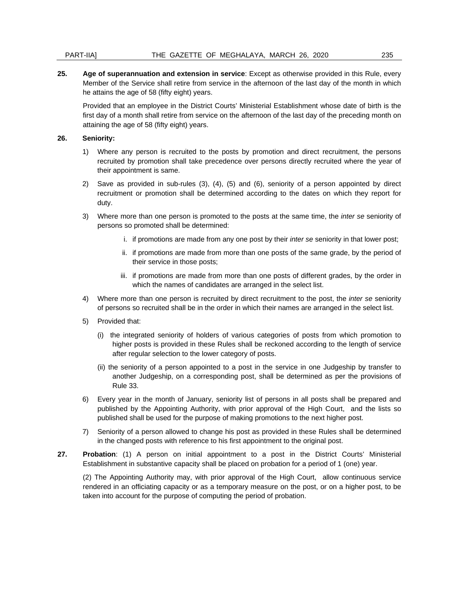#### PART-IIA] THE GAZETTE OF MEGHALAYA, MARCH 26, 2020 235

**25. Age of superannuation and extension in service**: Except as otherwise provided in this Rule, every Member of the Service shall retire from service in the afternoon of the last day of the month in which he attains the age of 58 (fifty eight) years.

Provided that an employee in the District Courts' Ministerial Establishment whose date of birth is the first day of a month shall retire from service on the afternoon of the last day of the preceding month on attaining the age of 58 (fifty eight) years.

#### **26. Seniority:**

- 1) Where any person is recruited to the posts by promotion and direct recruitment, the persons recruited by promotion shall take precedence over persons directly recruited where the year of their appointment is same.
- 2) Save as provided in sub-rules (3), (4), (5) and (6), seniority of a person appointed by direct recruitment or promotion shall be determined according to the dates on which they report for duty.
- 3) Where more than one person is promoted to the posts at the same time, the *inter se* seniority of persons so promoted shall be determined:
	- i. if promotions are made from any one post by their *inter se* seniority in that lower post;
	- ii. if promotions are made from more than one posts of the same grade, by the period of their service in those posts;
	- iii. if promotions are made from more than one posts of different grades, by the order in which the names of candidates are arranged in the select list.
- 4) Where more than one person is recruited by direct recruitment to the post, the *inter se* seniority of persons so recruited shall be in the order in which their names are arranged in the select list.
- 5) Provided that:
	- (i) the integrated seniority of holders of various categories of posts from which promotion to higher posts is provided in these Rules shall be reckoned according to the length of service after regular selection to the lower category of posts.
	- (ii) the seniority of a person appointed to a post in the service in one Judgeship by transfer to another Judgeship, on a corresponding post, shall be determined as per the provisions of Rule 33.
- 6) Every year in the month of January, seniority list of persons in all posts shall be prepared and published by the Appointing Authority, with prior approval of the High Court, and the lists so published shall be used for the purpose of making promotions to the next higher post.
- 7) Seniority of a person allowed to change his post as provided in these Rules shall be determined in the changed posts with reference to his first appointment to the original post.
- **27. Probation**: (1) A person on initial appointment to a post in the District Courts' Ministerial Establishment in substantive capacity shall be placed on probation for a period of 1 (one) year.

(2) The Appointing Authority may, with prior approval of the High Court, allow continuous service rendered in an officiating capacity or as a temporary measure on the post, or on a higher post, to be taken into account for the purpose of computing the period of probation.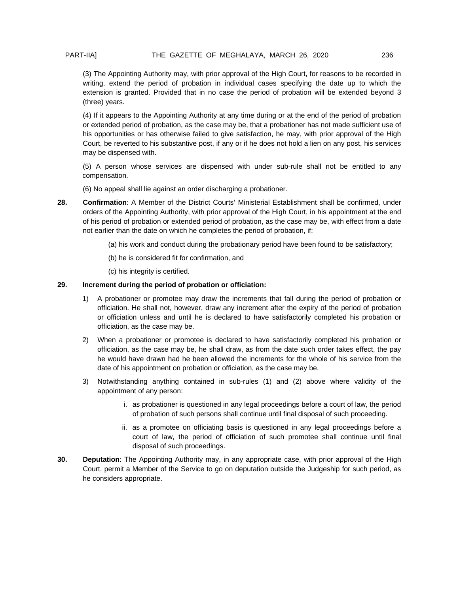(3) The Appointing Authority may, with prior approval of the High Court, for reasons to be recorded in writing, extend the period of probation in individual cases specifying the date up to which the extension is granted. Provided that in no case the period of probation will be extended beyond 3 (three) years.

(4) If it appears to the Appointing Authority at any time during or at the end of the period of probation or extended period of probation, as the case may be, that a probationer has not made sufficient use of his opportunities or has otherwise failed to give satisfaction, he may, with prior approval of the High Court, be reverted to his substantive post, if any or if he does not hold a lien on any post, his services may be dispensed with.

(5) A person whose services are dispensed with under sub-rule shall not be entitled to any compensation.

(6) No appeal shall lie against an order discharging a probationer.

- **28. Confirmation**: A Member of the District Courts' Ministerial Establishment shall be confirmed, under orders of the Appointing Authority, with prior approval of the High Court, in his appointment at the end of his period of probation or extended period of probation, as the case may be, with effect from a date not earlier than the date on which he completes the period of probation, if:
	- (a) his work and conduct during the probationary period have been found to be satisfactory;
	- (b) he is considered fit for confirmation, and
	- (c) his integrity is certified.

#### **29. Increment during the period of probation or officiation:**

- 1) A probationer or promotee may draw the increments that fall during the period of probation or officiation. He shall not, however, draw any increment after the expiry of the period of probation or officiation unless and until he is declared to have satisfactorily completed his probation or officiation, as the case may be.
- 2) When a probationer or promotee is declared to have satisfactorily completed his probation or officiation, as the case may be, he shall draw, as from the date such order takes effect, the pay he would have drawn had he been allowed the increments for the whole of his service from the date of his appointment on probation or officiation, as the case may be.
- 3) Notwithstanding anything contained in sub-rules (1) and (2) above where validity of the appointment of any person:
	- i. as probationer is questioned in any legal proceedings before a court of law, the period of probation of such persons shall continue until final disposal of such proceeding.
	- ii. as a promotee on officiating basis is questioned in any legal proceedings before a court of law, the period of officiation of such promotee shall continue until final disposal of such proceedings.
- **30. Deputation**: The Appointing Authority may, in any appropriate case, with prior approval of the High Court, permit a Member of the Service to go on deputation outside the Judgeship for such period, as he considers appropriate.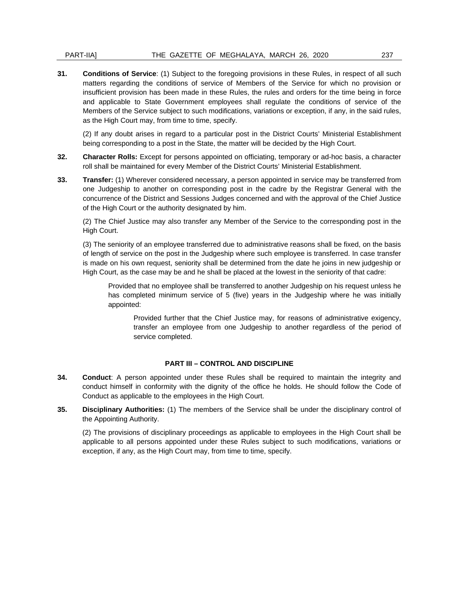#### PART-IIA] THE GAZETTE OF MEGHALAYA, MARCH 26, 2020 237

**31. Conditions of Service**: (1) Subject to the foregoing provisions in these Rules, in respect of all such matters regarding the conditions of service of Members of the Service for which no provision or insufficient provision has been made in these Rules, the rules and orders for the time being in force and applicable to State Government employees shall regulate the conditions of service of the Members of the Service subject to such modifications, variations or exception, if any, in the said rules, as the High Court may, from time to time, specify.

(2) If any doubt arises in regard to a particular post in the District Courts' Ministerial Establishment being corresponding to a post in the State, the matter will be decided by the High Court.

- **32. Character Rolls:** Except for persons appointed on officiating, temporary or ad-hoc basis, a character roll shall be maintained for every Member of the District Courts' Ministerial Establishment.
- **33. Transfer:** (1) Wherever considered necessary, a person appointed in service may be transferred from one Judgeship to another on corresponding post in the cadre by the Registrar General with the concurrence of the District and Sessions Judges concerned and with the approval of the Chief Justice of the High Court or the authority designated by him.

(2) The Chief Justice may also transfer any Member of the Service to the corresponding post in the High Court.

(3) The seniority of an employee transferred due to administrative reasons shall be fixed, on the basis of length of service on the post in the Judgeship where such employee is transferred. In case transfer is made on his own request, seniority shall be determined from the date he joins in new judgeship or High Court, as the case may be and he shall be placed at the lowest in the seniority of that cadre:

Provided that no employee shall be transferred to another Judgeship on his request unless he has completed minimum service of 5 (five) years in the Judgeship where he was initially appointed:

Provided further that the Chief Justice may, for reasons of administrative exigency, transfer an employee from one Judgeship to another regardless of the period of service completed.

#### **PART III – CONTROL AND DISCIPLINE**

- **34. Conduct**: A person appointed under these Rules shall be required to maintain the integrity and conduct himself in conformity with the dignity of the office he holds. He should follow the Code of Conduct as applicable to the employees in the High Court.
- **35. Disciplinary Authorities:** (1) The members of the Service shall be under the disciplinary control of the Appointing Authority.

(2) The provisions of disciplinary proceedings as applicable to employees in the High Court shall be applicable to all persons appointed under these Rules subject to such modifications, variations or exception, if any, as the High Court may, from time to time, specify.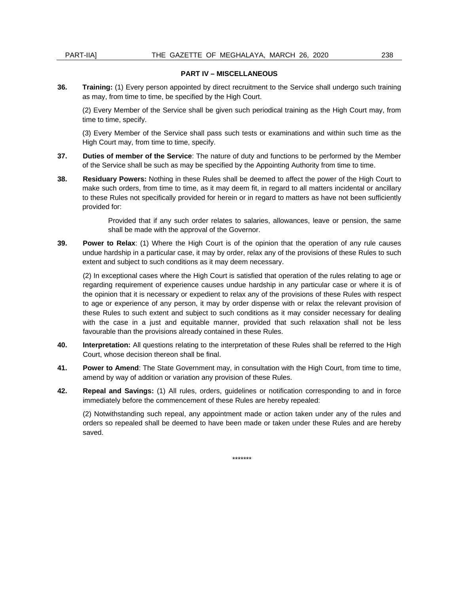#### **PART IV – MISCELLANEOUS**

**36. Training:** (1) Every person appointed by direct recruitment to the Service shall undergo such training as may, from time to time, be specified by the High Court.

(2) Every Member of the Service shall be given such periodical training as the High Court may, from time to time, specify.

(3) Every Member of the Service shall pass such tests or examinations and within such time as the High Court may, from time to time, specify.

- **37. Duties of member of the Service**: The nature of duty and functions to be performed by the Member of the Service shall be such as may be specified by the Appointing Authority from time to time.
- **38. Residuary Powers:** Nothing in these Rules shall be deemed to affect the power of the High Court to make such orders, from time to time, as it may deem fit, in regard to all matters incidental or ancillary to these Rules not specifically provided for herein or in regard to matters as have not been sufficiently provided for:

Provided that if any such order relates to salaries, allowances, leave or pension, the same shall be made with the approval of the Governor.

**39. Power to Relax**: (1) Where the High Court is of the opinion that the operation of any rule causes undue hardship in a particular case, it may by order, relax any of the provisions of these Rules to such extent and subject to such conditions as it may deem necessary.

(2) In exceptional cases where the High Court is satisfied that operation of the rules relating to age or regarding requirement of experience causes undue hardship in any particular case or where it is of the opinion that it is necessary or expedient to relax any of the provisions of these Rules with respect to age or experience of any person, it may by order dispense with or relax the relevant provision of these Rules to such extent and subject to such conditions as it may consider necessary for dealing with the case in a just and equitable manner, provided that such relaxation shall not be less favourable than the provisions already contained in these Rules.

- **40. Interpretation:** All questions relating to the interpretation of these Rules shall be referred to the High Court, whose decision thereon shall be final.
- **41. Power to Amend**: The State Government may, in consultation with the High Court, from time to time, amend by way of addition or variation any provision of these Rules.
- **42. Repeal and Savings:** (1) All rules, orders, guidelines or notification corresponding to and in force immediately before the commencement of these Rules are hereby repealed:

(2) Notwithstanding such repeal, any appointment made or action taken under any of the rules and orders so repealed shall be deemed to have been made or taken under these Rules and are hereby saved.

\*\*\*\*\*\*\*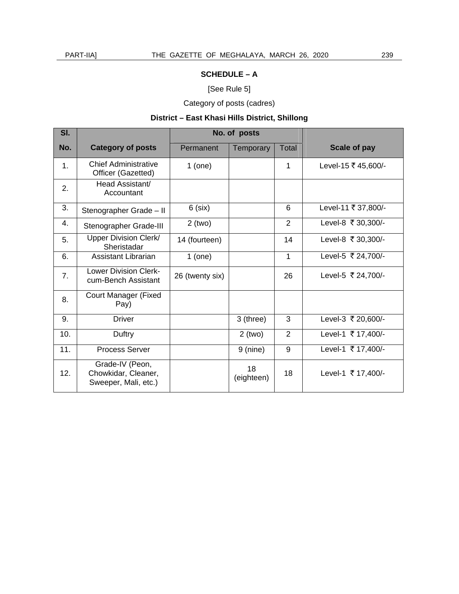## [See Rule 5]

Category of posts (cadres)

## **District – East Khasi Hills District, Shillong**

| SI. |                                                                | No. of posts    |                  |                |                     |
|-----|----------------------------------------------------------------|-----------------|------------------|----------------|---------------------|
| No. | <b>Category of posts</b>                                       | Permanent       | <b>Temporary</b> | Total          | Scale of pay        |
| 1.  | Chief Administrative<br>Officer (Gazetted)                     | $1$ (one)       |                  | 1              | Level-15 ₹ 45,600/- |
| 2.  | Head Assistant/<br>Accountant                                  |                 |                  |                |                     |
| 3.  | Stenographer Grade - II                                        | $6$ (six)       |                  | 6              | Level-11 ₹ 37,800/- |
| 4.  | Stenographer Grade-III                                         | $2$ (two)       |                  | $\overline{2}$ | Level-8 ₹ 30,300/-  |
| 5.  | <b>Upper Division Clerk/</b><br>Sheristadar                    | 14 (fourteen)   |                  | 14             | Level-8 ₹ 30,300/-  |
| 6.  | Assistant Librarian                                            | $1$ (one)       |                  | 1              | Level-5 ₹ 24,700/-  |
| 7.  | <b>Lower Division Clerk-</b><br>cum-Bench Assistant            | 26 (twenty six) |                  | 26             | Level-5 ₹ 24,700/-  |
| 8.  | <b>Court Manager (Fixed</b><br>Pay)                            |                 |                  |                |                     |
| 9.  | <b>Driver</b>                                                  |                 | 3 (three)        | 3              | Level-3 ₹ 20,600/-  |
| 10. | Duftry                                                         |                 | $2$ (two)        | $\overline{2}$ | Level-1 ₹ 17,400/-  |
| 11. | <b>Process Server</b>                                          |                 | $9$ (nine)       | 9              | Level-1 ₹ 17,400/-  |
| 12. | Grade-IV (Peon,<br>Chowkidar, Cleaner,<br>Sweeper, Mali, etc.) |                 | 18<br>(eighteen) | 18             | Level-1 ₹ 17,400/-  |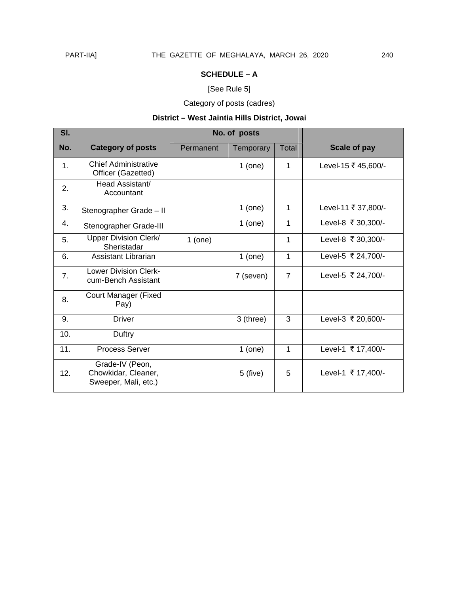## [See Rule 5]

Category of posts (cadres)

## **District – West Jaintia Hills District, Jowai**

| SI. |                                                                | No. of posts |                  |                |                     |
|-----|----------------------------------------------------------------|--------------|------------------|----------------|---------------------|
| No. | <b>Category of posts</b>                                       | Permanent    | <b>Temporary</b> | Total          | Scale of pay        |
| 1.  | <b>Chief Administrative</b><br>Officer (Gazetted)              |              | $1$ (one)        | 1              | Level-15 ₹ 45,600/- |
| 2.  | Head Assistant/<br>Accountant                                  |              |                  |                |                     |
| 3.  | Stenographer Grade - II                                        |              | $1$ (one)        | 1              | Level-11 ₹ 37,800/- |
| 4.  | Stenographer Grade-III                                         |              | $1$ (one)        | 1              | Level-8 ₹ 30,300/-  |
| 5.  | <b>Upper Division Clerk/</b><br>Sheristadar                    | $1$ (one)    |                  | 1              | Level-8 ₹ 30,300/-  |
| 6.  | <b>Assistant Librarian</b>                                     |              | $1$ (one)        | 1              | Level-5 ₹ 24,700/-  |
| 7.  | <b>Lower Division Clerk-</b><br>cum-Bench Assistant            |              | 7 (seven)        | $\overline{7}$ | Level-5 ₹ 24,700/-  |
| 8.  | <b>Court Manager (Fixed</b><br>Pay)                            |              |                  |                |                     |
| 9.  | <b>Driver</b>                                                  |              | 3 (three)        | 3              | Level-3 ₹ 20,600/-  |
| 10. | Duftry                                                         |              |                  |                |                     |
| 11. | <b>Process Server</b>                                          |              | $1$ (one)        | 1              | Level-1 ₹ 17,400/-  |
| 12. | Grade-IV (Peon,<br>Chowkidar, Cleaner,<br>Sweeper, Mali, etc.) |              | $5$ (five)       | 5              | Level-1 ₹ 17,400/-  |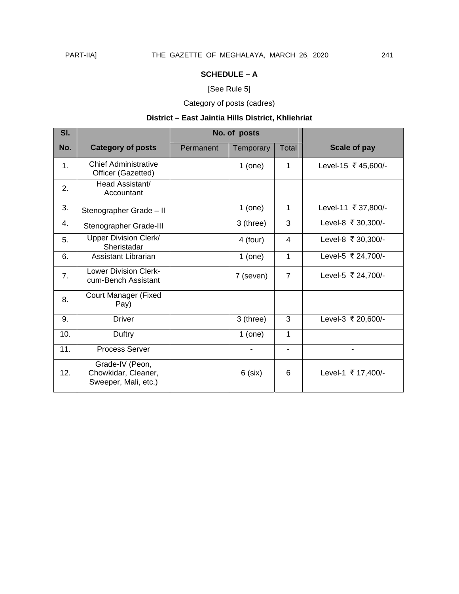## [See Rule 5]

Category of posts (cadres)

## **District – East Jaintia Hills District, Khliehriat**

| SI.           |                                                                | No. of posts |                  |                |                     |
|---------------|----------------------------------------------------------------|--------------|------------------|----------------|---------------------|
| No.           | <b>Category of posts</b>                                       | Permanent    | <b>Temporary</b> | <b>Total</b>   | Scale of pay        |
| $\mathbf 1$ . | <b>Chief Administrative</b><br>Officer (Gazetted)              |              | $1$ (one)        | 1              | Level-15 ₹ 45,600/- |
| 2.            | Head Assistant/<br>Accountant                                  |              |                  |                |                     |
| 3.            | Stenographer Grade - II                                        |              | $1$ (one)        | 1              | Level-11 ₹ 37,800/- |
| 4.            | Stenographer Grade-III                                         |              | 3 (three)        | 3              | Level-8 ₹ 30,300/-  |
| 5.            | Upper Division Clerk/<br>Sheristadar                           |              | 4 (four)         | 4              | Level-8 ₹ 30,300/-  |
| 6.            | Assistant Librarian                                            |              | $1$ (one)        | $\mathbf{1}$   | Level-5 ₹ 24,700/-  |
| 7.            | <b>Lower Division Clerk-</b><br>cum-Bench Assistant            |              | 7 (seven)        | $\overline{7}$ | Level-5 ₹ 24,700/-  |
| 8.            | <b>Court Manager (Fixed</b><br>Pay)                            |              |                  |                |                     |
| 9.            | Driver                                                         |              | 3 (three)        | 3              | Level-3 ₹ 20,600/-  |
| 10.           | Duftry                                                         |              | $1$ (one)        | $\mathbf{1}$   |                     |
| 11.           | <b>Process Server</b>                                          |              |                  |                |                     |
| 12.           | Grade-IV (Peon,<br>Chowkidar, Cleaner,<br>Sweeper, Mali, etc.) |              | $6$ (six)        | 6              | Level-1 ₹ 17,400/-  |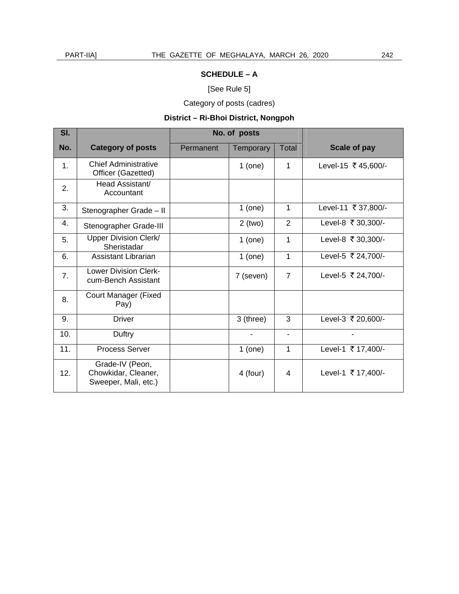## [See Rule 5]

Category of posts (cadres)

## **District – Ri-Bhoi District, Nongpoh**

| SI. |                                                                | No. of posts |                              |                              |                     |
|-----|----------------------------------------------------------------|--------------|------------------------------|------------------------------|---------------------|
| No. | <b>Category of posts</b>                                       | Permanent    | Temporary                    | Total                        | Scale of pay        |
| 1.  | Chief Administrative<br>Officer (Gazetted)                     |              | $1$ (one)                    | 1                            | Level-15 ₹ 45,600/- |
| 2.  | Head Assistant/<br>Accountant                                  |              |                              |                              |                     |
| 3.  | Stenographer Grade - II                                        |              | $1$ (one)                    | 1                            | Level-11 ₹ 37,800/- |
| 4.  | Stenographer Grade-III                                         |              | $2$ (two)                    | $\overline{2}$               | Level-8 ₹ 30,300/-  |
| 5.  | <b>Upper Division Clerk/</b><br>Sheristadar                    |              | $1$ (one)                    | 1                            | Level-8 ₹ 30,300/-  |
| 6.  | Assistant Librarian                                            |              | $1$ (one)                    | 1                            | Level-5 ₹ 24,700/-  |
| 7.  | <b>Lower Division Clerk-</b><br>cum-Bench Assistant            |              | 7 (seven)                    | $\overline{7}$               | Level-5 ₹ 24,700/-  |
| 8.  | <b>Court Manager (Fixed</b><br>Pay)                            |              |                              |                              |                     |
| 9.  | <b>Driver</b>                                                  |              | 3 (three)                    | 3                            | Level-3 ₹ 20,600/-  |
| 10. | Duftry                                                         |              | $\qquad \qquad \blacksquare$ | $\qquad \qquad \blacksquare$ |                     |
| 11. | Process Server                                                 |              | $1$ (one)                    | 1                            | Level-1 ₹ 17,400/-  |
| 12. | Grade-IV (Peon,<br>Chowkidar, Cleaner,<br>Sweeper, Mali, etc.) |              | 4 (four)                     | 4                            | Level-1 ₹ 17,400/-  |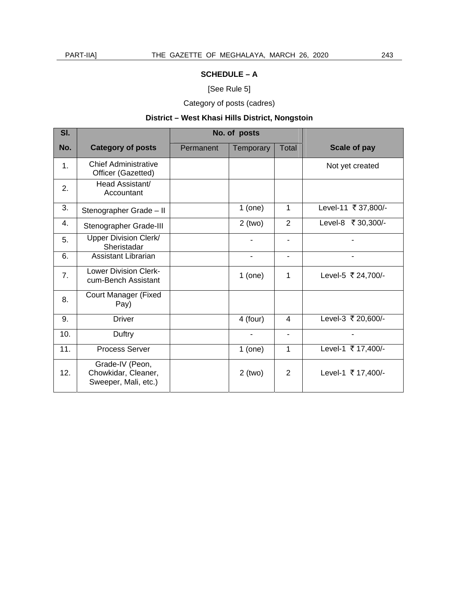## [See Rule 5]

Category of posts (cadres)

## **District – West Khasi Hills District, Nongstoin**

| SI. |                                                                | No. of posts |                              |                              |                     |
|-----|----------------------------------------------------------------|--------------|------------------------------|------------------------------|---------------------|
| No. | <b>Category of posts</b>                                       | Permanent    | <b>Temporary</b>             | Total                        | Scale of pay        |
| 1.  | <b>Chief Administrative</b><br>Officer (Gazetted)              |              |                              |                              | Not yet created     |
| 2.  | Head Assistant/<br>Accountant                                  |              |                              |                              |                     |
| 3.  | Stenographer Grade - II                                        |              | $1$ (one)                    | $\mathbf 1$                  | Level-11 ₹ 37,800/- |
| 4.  | Stenographer Grade-III                                         |              | $2$ (two)                    | $\overline{2}$               | Level-8 ₹ 30,300/-  |
| 5.  | Upper Division Clerk/<br>Sheristadar                           |              |                              |                              |                     |
| 6.  | <b>Assistant Librarian</b>                                     |              | $\overline{\phantom{0}}$     | $\qquad \qquad \blacksquare$ | $\blacksquare$      |
| 7.  | <b>Lower Division Clerk-</b><br>cum-Bench Assistant            |              | $1$ (one)                    | 1                            | Level-5 ₹ 24,700/-  |
| 8.  | <b>Court Manager (Fixed</b><br>Pay)                            |              |                              |                              |                     |
| 9.  | <b>Driver</b>                                                  |              | 4 (four)                     | 4                            | Level-3 ₹ 20,600/-  |
| 10. | Duftry                                                         |              | $\qquad \qquad \blacksquare$ | $\blacksquare$               |                     |
| 11. | <b>Process Server</b>                                          |              | $1$ (one)                    | 1                            | Level-1 ₹ 17,400/-  |
| 12. | Grade-IV (Peon,<br>Chowkidar, Cleaner,<br>Sweeper, Mali, etc.) |              | $2$ (two)                    | 2                            | Level-1 ₹ 17,400/-  |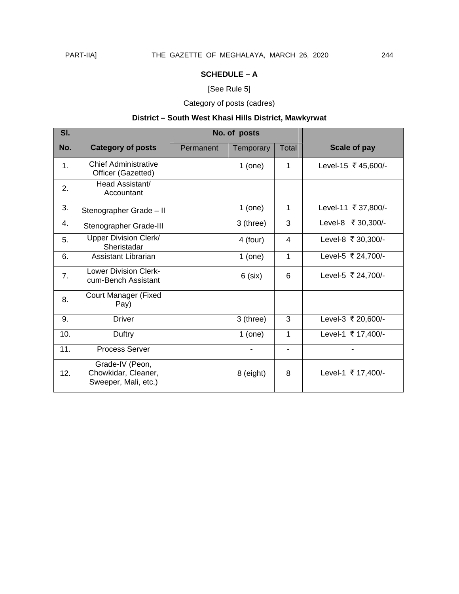## [See Rule 5]

Category of posts (cadres)

## **District – South West Khasi Hills District, Mawkyrwat**

| SI. |                                                                | No. of posts |           |              |                     |
|-----|----------------------------------------------------------------|--------------|-----------|--------------|---------------------|
| No. | <b>Category of posts</b>                                       | Permanent    | Temporary | <b>Total</b> | Scale of pay        |
| 1.  | <b>Chief Administrative</b><br>Officer (Gazetted)              |              | $1$ (one) | 1            | Level-15 ₹ 45,600/- |
| 2.  | Head Assistant/<br>Accountant                                  |              |           |              |                     |
| 3.  | Stenographer Grade - II                                        |              | $1$ (one) | 1            | Level-11 ₹ 37,800/- |
| 4.  | Stenographer Grade-III                                         |              | 3 (three) | 3            | Level-8 ₹ 30,300/-  |
| 5.  | Upper Division Clerk/<br>Sheristadar                           |              | 4 (four)  | 4            | Level-8 ₹ 30,300/-  |
| 6.  | <b>Assistant Librarian</b>                                     |              | $1$ (one) | 1            | Level-5 ₹ 24,700/-  |
| 7.  | <b>Lower Division Clerk-</b><br>cum-Bench Assistant            |              | $6$ (six) | 6            | Level-5 ₹ 24,700/-  |
| 8.  | <b>Court Manager (Fixed</b><br>Pay)                            |              |           |              |                     |
| 9.  | <b>Driver</b>                                                  |              | 3 (three) | 3            | Level-3 ₹ 20,600/-  |
| 10. | Duftry                                                         |              | $1$ (one) | 1            | Level-1 ₹ 17,400/-  |
| 11. | <b>Process Server</b>                                          |              |           |              |                     |
| 12. | Grade-IV (Peon,<br>Chowkidar, Cleaner,<br>Sweeper, Mali, etc.) |              | 8 (eight) | 8            | Level-1 ₹ 17,400/-  |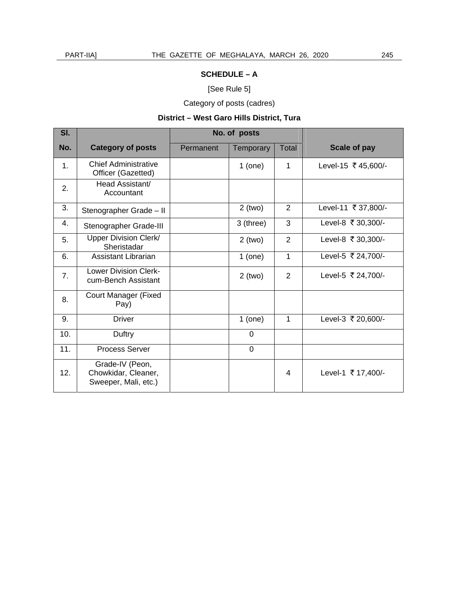## [See Rule 5]

Category of posts (cadres)

## **District – West Garo Hills District, Tura**

| SI.           |                                                                | No. of posts |                  |                |                     |
|---------------|----------------------------------------------------------------|--------------|------------------|----------------|---------------------|
| No.           | <b>Category of posts</b>                                       | Permanent    | <b>Temporary</b> | Total          | Scale of pay        |
| $\mathbf 1$ . | <b>Chief Administrative</b><br>Officer (Gazetted)              |              | $1$ (one)        | 1              | Level-15 ₹ 45,600/- |
| 2.            | Head Assistant/<br>Accountant                                  |              |                  |                |                     |
| 3.            | Stenographer Grade - II                                        |              | $2$ (two)        | $\overline{2}$ | Level-11 ₹ 37,800/- |
| 4.            | Stenographer Grade-III                                         |              | 3 (three)        | 3              | Level-8 ₹ 30,300/-  |
| 5.            | Upper Division Clerk/<br>Sheristadar                           |              | $2$ (two)        | $\overline{2}$ | Level-8 ₹ 30,300/-  |
| 6.            | Assistant Librarian                                            |              | $1$ (one)        | $\mathbf{1}$   | Level-5 ₹ 24,700/-  |
| 7.            | <b>Lower Division Clerk-</b><br>cum-Bench Assistant            |              | $2$ (two)        | $\overline{2}$ | Level-5 ₹ 24,700/-  |
| 8.            | <b>Court Manager (Fixed</b><br>Pay)                            |              |                  |                |                     |
| 9.            | <b>Driver</b>                                                  |              | $1$ (one)        | 1              | Level-3 ₹ 20,600/-  |
| 10.           | Duftry                                                         |              | $\mathbf 0$      |                |                     |
| 11.           | <b>Process Server</b>                                          |              | $\mathbf 0$      |                |                     |
| 12.           | Grade-IV (Peon,<br>Chowkidar, Cleaner,<br>Sweeper, Mali, etc.) |              |                  | 4              | Level-1 ₹ 17,400/-  |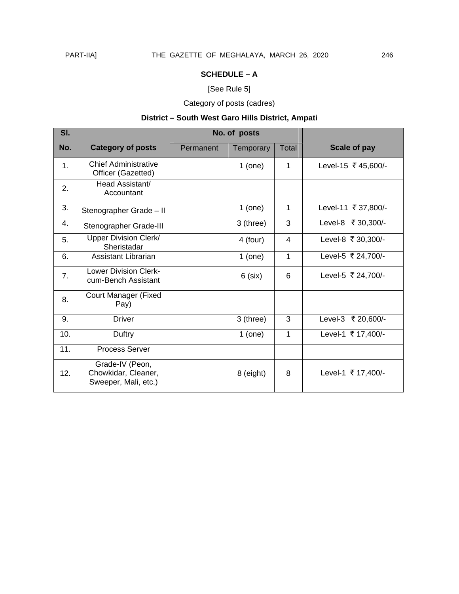## [See Rule 5]

Category of posts (cadres)

## **District – South West Garo Hills District, Ampati**

| SI. |                                                                | No. of posts |                  |              |                     |
|-----|----------------------------------------------------------------|--------------|------------------|--------------|---------------------|
| No. | <b>Category of posts</b>                                       | Permanent    | <b>Temporary</b> | Total        | Scale of pay        |
| 1.  | Chief Administrative<br>Officer (Gazetted)                     |              | $1$ (one)        | 1            | Level-15 ₹ 45,600/- |
| 2.  | Head Assistant/<br>Accountant                                  |              |                  |              |                     |
| 3.  | Stenographer Grade - II                                        |              | $1$ (one)        | $\mathbf{1}$ | Level-11 ₹ 37,800/- |
| 4.  | Stenographer Grade-III                                         |              | 3 (three)        | 3            | Level-8 ₹ 30,300/-  |
| 5.  | <b>Upper Division Clerk/</b><br>Sheristadar                    |              | 4 (four)         | 4            | Level-8 ₹ 30,300/-  |
| 6.  | Assistant Librarian                                            |              | $1$ (one)        | 1            | Level-5 ₹ 24,700/-  |
| 7.  | <b>Lower Division Clerk-</b><br>cum-Bench Assistant            |              | $6$ (six)        | 6            | Level-5 ₹ 24,700/-  |
| 8.  | <b>Court Manager (Fixed</b><br>Pay)                            |              |                  |              |                     |
| 9.  | <b>Driver</b>                                                  |              | 3 (three)        | 3            | Level-3 ₹ 20,600/-  |
| 10. | Duftry                                                         |              | $1$ (one)        | 1            | Level-1 ₹ 17,400/-  |
| 11. | <b>Process Server</b>                                          |              |                  |              |                     |
| 12. | Grade-IV (Peon,<br>Chowkidar, Cleaner,<br>Sweeper, Mali, etc.) |              | 8 (eight)        | 8            | Level-1 ₹ 17,400/-  |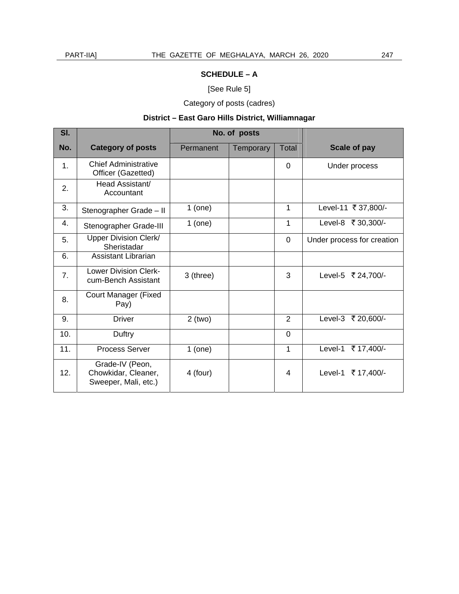## [See Rule 5]

Category of posts (cadres)

## **District – East Garo Hills District, Williamnagar**

| SI. |                                                                | No. of posts |                  |                |                            |
|-----|----------------------------------------------------------------|--------------|------------------|----------------|----------------------------|
| No. | <b>Category of posts</b>                                       | Permanent    | <b>Temporary</b> | <b>Total</b>   | Scale of pay               |
| 1.  | <b>Chief Administrative</b><br>Officer (Gazetted)              |              |                  | $\Omega$       | Under process              |
| 2.  | Head Assistant/<br>Accountant                                  |              |                  |                |                            |
| 3.  | Stenographer Grade - II                                        | $1$ (one)    |                  | 1              | Level-11 ₹ 37,800/-        |
| 4.  | Stenographer Grade-III                                         | $1$ (one)    |                  | 1              | Level-8 ₹ 30,300/-         |
| 5.  | Upper Division Clerk/<br>Sheristadar                           |              |                  | $\mathbf 0$    | Under process for creation |
| 6.  | Assistant Librarian                                            |              |                  |                |                            |
| 7.  | <b>Lower Division Clerk-</b><br>cum-Bench Assistant            | 3 (three)    |                  | 3              | Level-5 ₹ 24,700/-         |
| 8.  | Court Manager (Fixed<br>Pay)                                   |              |                  |                |                            |
| 9.  | <b>Driver</b>                                                  | $2$ (two)    |                  | $\overline{2}$ | Level-3 ₹ 20,600/-         |
| 10. | Duftry                                                         |              |                  | 0              |                            |
| 11. | <b>Process Server</b>                                          | $1$ (one)    |                  | 1              | Level-1<br>₹ 17,400/-      |
| 12. | Grade-IV (Peon,<br>Chowkidar, Cleaner,<br>Sweeper, Mali, etc.) | 4 (four)     |                  | 4              | ₹17,400/-<br>Level-1       |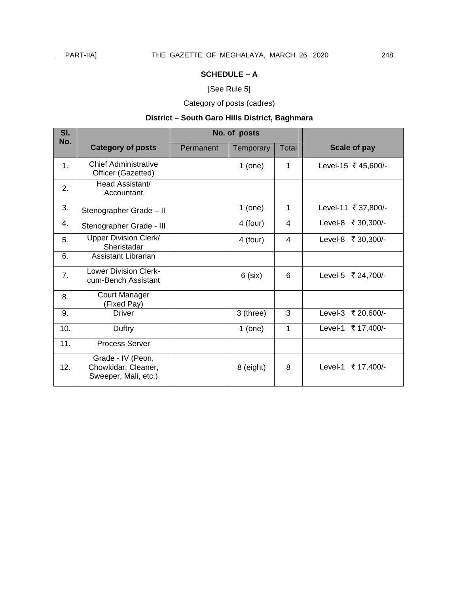## [See Rule 5]

Category of posts (cadres)

## **District – South Garo Hills District, Baghmara**

| SI.<br>No. |                                                                  | No. of posts |                  |       |                      |
|------------|------------------------------------------------------------------|--------------|------------------|-------|----------------------|
|            | <b>Category of posts</b>                                         | Permanent    | <b>Temporary</b> | Total | Scale of pay         |
| 1.         | Chief Administrative<br>Officer (Gazetted)                       |              | $1$ (one)        | 1     | Level-15 ₹ 45,600/-  |
| 2.         | Head Assistant/<br>Accountant                                    |              |                  |       |                      |
| 3.         | Stenographer Grade - II                                          |              | $1$ (one)        | 1     | Level-11 ₹ 37,800/-  |
| 4.         | Stenographer Grade - III                                         |              | 4 (four)         | 4     | Level-8 ₹ 30,300/-   |
| 5.         | Upper Division Clerk/<br>Sheristadar                             |              | 4 (four)         | 4     | Level-8 ₹ 30,300/-   |
| 6.         | Assistant Librarian                                              |              |                  |       |                      |
| 7.         | <b>Lower Division Clerk-</b><br>cum-Bench Assistant              |              | $6$ (six)        | 6     | Level-5 ₹ 24,700/-   |
| 8.         | Court Manager<br>(Fixed Pay)                                     |              |                  |       |                      |
| 9.         | <b>Driver</b>                                                    |              | 3 (three)        | 3     | Level-3 ₹ 20,600/-   |
| 10.        | Duftry                                                           |              | $1$ (one)        | 1     | Level-1 ₹ 17,400/-   |
| 11.        | <b>Process Server</b>                                            |              |                  |       |                      |
| 12.        | Grade - IV (Peon,<br>Chowkidar, Cleaner,<br>Sweeper, Mali, etc.) |              | 8 (eight)        | 8     | Level-1<br>₹17,400/- |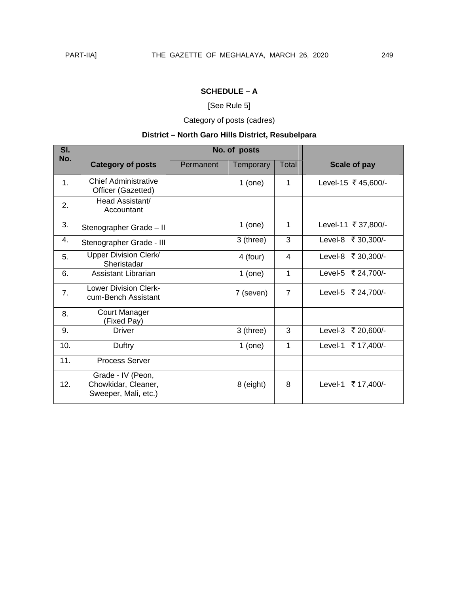[See Rule 5]

Category of posts (cadres)

## **District – North Garo Hills District, Resubelpara**

| SI.<br>No. |                                                                  | No. of posts |                  |              |                      |
|------------|------------------------------------------------------------------|--------------|------------------|--------------|----------------------|
|            | <b>Category of posts</b>                                         | Permanent    | <b>Temporary</b> | <b>Total</b> | Scale of pay         |
| 1.         | Chief Administrative<br>Officer (Gazetted)                       |              | $1$ (one)        | 1            | Level-15 ₹ 45,600/-  |
| 2.         | Head Assistant/<br>Accountant                                    |              |                  |              |                      |
| 3.         | Stenographer Grade - II                                          |              | $1$ (one)        | 1            | Level-11 ₹ 37,800/-  |
| 4.         | Stenographer Grade - III                                         |              | 3 (three)        | 3            | Level-8 ₹ 30,300/-   |
| 5.         | Upper Division Clerk/<br>Sheristadar                             |              | 4 (four)         | 4            | Level-8 ₹ 30,300/-   |
| 6.         | Assistant Librarian                                              |              | $1$ (one)        | 1            | Level-5 ₹ 24,700/-   |
| 7.         | <b>Lower Division Clerk-</b><br>cum-Bench Assistant              |              | 7 (seven)        | 7            | Level-5 ₹ 24,700/-   |
| 8.         | <b>Court Manager</b><br>(Fixed Pay)                              |              |                  |              |                      |
| 9.         | <b>Driver</b>                                                    |              | 3 (three)        | 3            | Level-3 ₹ 20,600/-   |
| 10.        | Duftry                                                           |              | $1$ (one)        | $\mathbf{1}$ | Level-1 ₹ 17,400/-   |
| 11.        | <b>Process Server</b>                                            |              |                  |              |                      |
| 12.        | Grade - IV (Peon,<br>Chowkidar, Cleaner,<br>Sweeper, Mali, etc.) |              | 8 (eight)        | 8            | Level-1<br>₹17,400/- |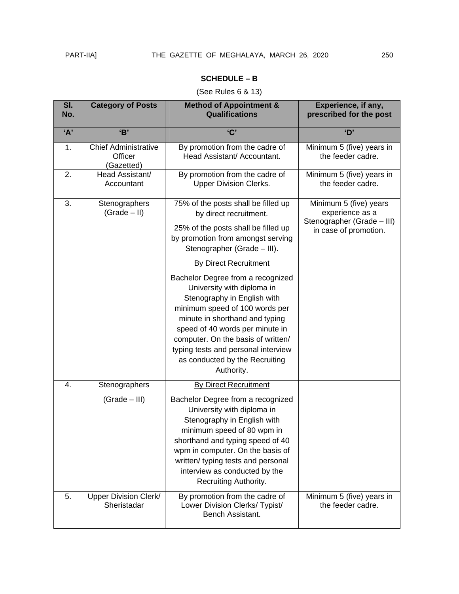## (See Rules 6 & 13)

| SI.<br>No. | <b>Category of Posts</b>                             | <b>Method of Appointment &amp;</b><br><b>Qualifications</b>                                                                                                                                                                                                                                                                        | Experience, if any,<br>prescribed for the post                          |
|------------|------------------------------------------------------|------------------------------------------------------------------------------------------------------------------------------------------------------------------------------------------------------------------------------------------------------------------------------------------------------------------------------------|-------------------------------------------------------------------------|
| 'A'        | B                                                    | C                                                                                                                                                                                                                                                                                                                                  | 'D'                                                                     |
| 1.         | <b>Chief Administrative</b><br>Officer<br>(Gazetted) | By promotion from the cadre of<br>Head Assistant/ Accountant.                                                                                                                                                                                                                                                                      | Minimum 5 (five) years in<br>the feeder cadre.                          |
| 2.         | Head Assistant/<br>Accountant                        | By promotion from the cadre of<br><b>Upper Division Clerks.</b>                                                                                                                                                                                                                                                                    | Minimum 5 (five) years in<br>the feeder cadre.                          |
| 3.         | Stenographers<br>$(Grade - II)$                      | 75% of the posts shall be filled up<br>by direct recruitment.                                                                                                                                                                                                                                                                      | Minimum 5 (five) years<br>experience as a<br>Stenographer (Grade - III) |
|            |                                                      | 25% of the posts shall be filled up<br>by promotion from amongst serving<br>Stenographer (Grade - III).                                                                                                                                                                                                                            | in case of promotion.                                                   |
|            |                                                      | <b>By Direct Recruitment</b>                                                                                                                                                                                                                                                                                                       |                                                                         |
|            |                                                      | Bachelor Degree from a recognized<br>University with diploma in<br>Stenography in English with<br>minimum speed of 100 words per<br>minute in shorthand and typing<br>speed of 40 words per minute in<br>computer. On the basis of written/<br>typing tests and personal interview<br>as conducted by the Recruiting<br>Authority. |                                                                         |
| 4.         | Stenographers                                        | <b>By Direct Recruitment</b>                                                                                                                                                                                                                                                                                                       |                                                                         |
|            | $(Grade - III)$                                      | Bachelor Degree from a recognized<br>University with diploma in<br>Stenography in English with<br>minimum speed of 80 wpm in<br>shorthand and typing speed of 40<br>wpm in computer. On the basis of<br>written/ typing tests and personal<br>interview as conducted by the<br>Recruiting Authority.                               |                                                                         |
| 5.         | Upper Division Clerk/<br>Sheristadar                 | By promotion from the cadre of<br>Lower Division Clerks/ Typist/<br>Bench Assistant.                                                                                                                                                                                                                                               | Minimum 5 (five) years in<br>the feeder cadre.                          |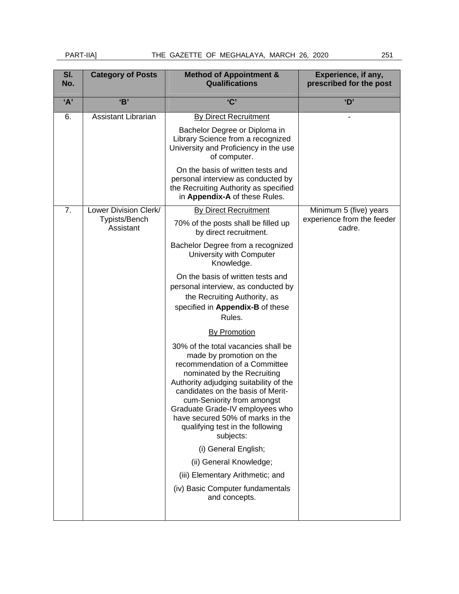## PART-IIA] THE GAZETTE OF MEGHALAYA, MARCH 26, 2020 251

| SI.<br>No. | <b>Category of Posts</b>   | <b>Method of Appointment &amp;</b><br><b>Qualifications</b>                                                                                                                                                                                                                                                                                                                                  | Experience, if any,<br>prescribed for the post |
|------------|----------------------------|----------------------------------------------------------------------------------------------------------------------------------------------------------------------------------------------------------------------------------------------------------------------------------------------------------------------------------------------------------------------------------------------|------------------------------------------------|
| 'A'        | B'                         | C                                                                                                                                                                                                                                                                                                                                                                                            | 'D'                                            |
| 6.         | <b>Assistant Librarian</b> | <b>By Direct Recruitment</b><br>Bachelor Degree or Diploma in<br>Library Science from a recognized<br>University and Proficiency in the use<br>of computer.                                                                                                                                                                                                                                  |                                                |
|            |                            | On the basis of written tests and<br>personal interview as conducted by<br>the Recruiting Authority as specified<br>in Appendix-A of these Rules.                                                                                                                                                                                                                                            |                                                |
| 7.         | Lower Division Clerk/      | <b>By Direct Recruitment</b>                                                                                                                                                                                                                                                                                                                                                                 | Minimum 5 (five) years                         |
|            | Typists/Bench<br>Assistant | 70% of the posts shall be filled up<br>by direct recruitment.                                                                                                                                                                                                                                                                                                                                | experience from the feeder<br>cadre.           |
|            |                            | Bachelor Degree from a recognized<br>University with Computer<br>Knowledge.                                                                                                                                                                                                                                                                                                                  |                                                |
|            |                            | On the basis of written tests and<br>personal interview, as conducted by<br>the Recruiting Authority, as<br>specified in Appendix-B of these<br>Rules.                                                                                                                                                                                                                                       |                                                |
|            |                            | <b>By Promotion</b>                                                                                                                                                                                                                                                                                                                                                                          |                                                |
|            |                            | 30% of the total vacancies shall be<br>made by promotion on the<br>recommendation of a Committee<br>nominated by the Recruiting<br>Authority adjudging suitability of the<br>candidates on the basis of Merit-<br>cum-Seniority from amongst<br>Graduate Grade-IV employees who<br>have secured 50% of marks in the<br>qualifying test in the following<br>subjects:<br>(i) General English; |                                                |
|            |                            | (ii) General Knowledge;                                                                                                                                                                                                                                                                                                                                                                      |                                                |
|            |                            | (iii) Elementary Arithmetic; and<br>(iv) Basic Computer fundamentals<br>and concepts.                                                                                                                                                                                                                                                                                                        |                                                |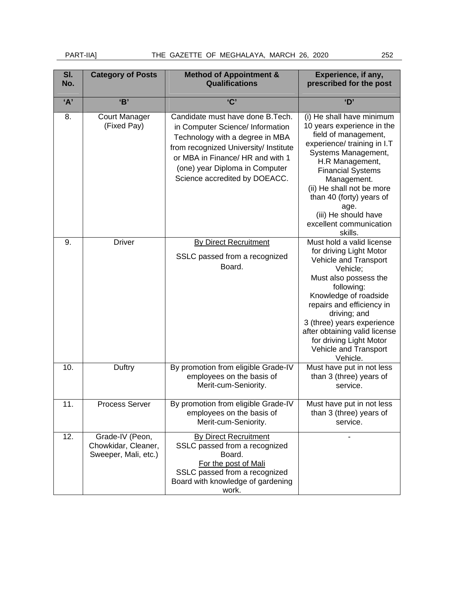| SI.<br>No. | <b>Category of Posts</b>                                       | <b>Method of Appointment &amp;</b><br><b>Qualifications</b>                                                                                                                                                                                              | Experience, if any,<br>prescribed for the post                                                                                                                                                                                                                                                                                        |
|------------|----------------------------------------------------------------|----------------------------------------------------------------------------------------------------------------------------------------------------------------------------------------------------------------------------------------------------------|---------------------------------------------------------------------------------------------------------------------------------------------------------------------------------------------------------------------------------------------------------------------------------------------------------------------------------------|
| A'         | B'                                                             | $^{\prime}$ C'                                                                                                                                                                                                                                           | 'D'                                                                                                                                                                                                                                                                                                                                   |
| 8.         | <b>Court Manager</b><br>(Fixed Pay)                            | Candidate must have done B. Tech.<br>in Computer Science/ Information<br>Technology with a degree in MBA<br>from recognized University/ Institute<br>or MBA in Finance/ HR and with 1<br>(one) year Diploma in Computer<br>Science accredited by DOEACC. | (i) He shall have minimum<br>10 years experience in the<br>field of management,<br>experience/ training in I.T<br>Systems Management,<br>H.R Management,<br><b>Financial Systems</b><br>Management.<br>(ii) He shall not be more<br>than 40 (forty) years of<br>age.<br>(iii) He should have<br>excellent communication<br>skills.    |
| 9.         | <b>Driver</b>                                                  | <b>By Direct Recruitment</b><br>SSLC passed from a recognized<br>Board.                                                                                                                                                                                  | Must hold a valid license<br>for driving Light Motor<br>Vehicle and Transport<br>Vehicle;<br>Must also possess the<br>following:<br>Knowledge of roadside<br>repairs and efficiency in<br>driving; and<br>3 (three) years experience<br>after obtaining valid license<br>for driving Light Motor<br>Vehicle and Transport<br>Vehicle. |
| 10.        | Duftry                                                         | By promotion from eligible Grade-IV<br>employees on the basis of<br>Merit-cum-Seniority.                                                                                                                                                                 | Must have put in not less<br>than 3 (three) years of<br>service.                                                                                                                                                                                                                                                                      |
| 11.        | Process Server                                                 | By promotion from eligible Grade-IV<br>employees on the basis of<br>Merit-cum-Seniority.                                                                                                                                                                 | Must have put in not less<br>than 3 (three) years of<br>service.                                                                                                                                                                                                                                                                      |
| 12.        | Grade-IV (Peon,<br>Chowkidar, Cleaner,<br>Sweeper, Mali, etc.) | <b>By Direct Recruitment</b><br>SSLC passed from a recognized<br>Board.<br>For the post of Mali<br>SSLC passed from a recognized<br>Board with knowledge of gardening<br>work.                                                                           |                                                                                                                                                                                                                                                                                                                                       |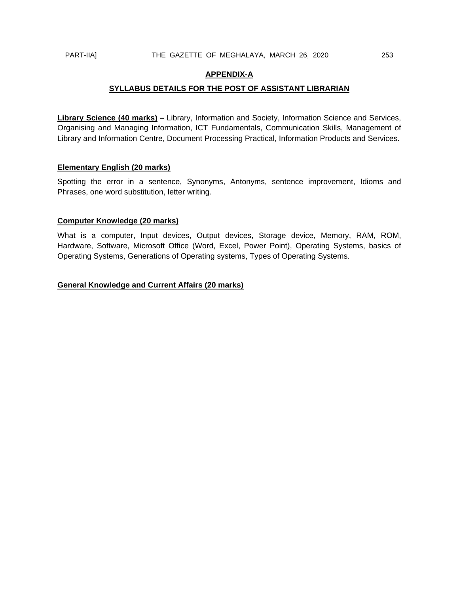#### **APPENDIX-A**

#### **SYLLABUS DETAILS FOR THE POST OF ASSISTANT LIBRARIAN**

**Library Science (40 marks) –** Library, Information and Society, Information Science and Services, Organising and Managing Information, ICT Fundamentals, Communication Skills, Management of Library and Information Centre, Document Processing Practical, Information Products and Services.

#### **Elementary English (20 marks)**

Spotting the error in a sentence, Synonyms, Antonyms, sentence improvement, Idioms and Phrases, one word substitution, letter writing.

#### **Computer Knowledge (20 marks)**

What is a computer, Input devices, Output devices, Storage device, Memory, RAM, ROM, Hardware, Software, Microsoft Office (Word, Excel, Power Point), Operating Systems, basics of Operating Systems, Generations of Operating systems, Types of Operating Systems.

#### **General Knowledge and Current Affairs (20 marks)**